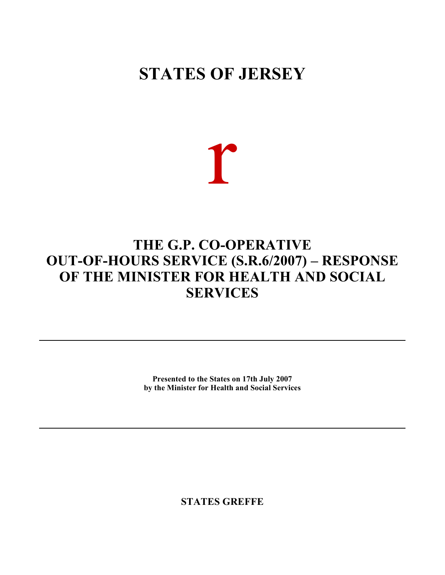# **STATES OF JERSEY**

r

# **THE G.P. CO-OPERATIVE OUT-OF-HOURS SERVICE (S.R.6/2007) – RESPONSE OF THE MINISTER FOR HEALTH AND SOCIAL SERVICES**

**Presented to the States on 17th July 2007 by the Minister for Health and Social Services**

**STATES GREFFE**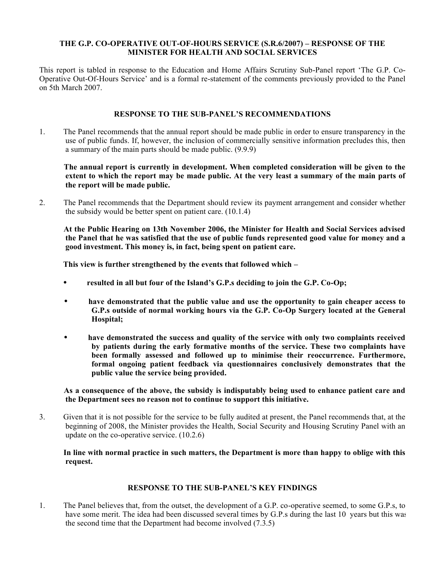#### **THE G.P. CO-OPERATIVE OUT-OF-HOURS SERVICE (S.R.6/2007) – RESPONSE OF THE MINISTER FOR HEALTH AND SOCIAL SERVICES**

This report is tabled in response to the Education and Home Affairs Scrutiny Sub-Panel report 'The G.P. Co-Operative Out-Of-Hours Service' and is a formal re-statement of the comments previously provided to the Panel on 5th March 2007.

### **RESPONSE TO THE SUB-PANEL'S RECOMMENDATIONS**

1. The Panel recommends that the annual report should be made public in order to ensure transparency in the use of public funds. If, however, the inclusion of commercially sensitive information precludes this, then a summary of the main parts should be made public. (9.9.9)

 **The annual report is currently in development. When completed consideration will be given to the extent to which the report may be made public. At the very least a summary of the main parts of the report will be made public.**

2. The Panel recommends that the Department should review its payment arrangement and consider whether the subsidy would be better spent on patient care. (10.1.4)

 **At the Public Hearing on 13th November 2006, the Minister for Health and Social Services advised the Panel that he was satisfied that the use of public funds represented good value for money and a good investment. This money is, in fact, being spent on patient care.**

 **This view is further strengthened by the events that followed which –**

- **•** resulted in all but four of the Island's G.P.s deciding to join the G.P. Co-Op;
- **have demonstrated that the public value and use the opportunity to gain cheaper access to G.P.s outside of normal working hours via the G.P. Co-Op Surgery located at the General Hospital;**
- **have demonstrated the success and quality of the service with only two complaints received by patients during the early formative months of the service. These two complaints have been formally assessed and followed up to minimise their reoccurrence. Furthermore, formal ongoing patient feedback via questionnaires conclusively demonstrates that the public value the service being provided.**

 **As a consequence of the above, the subsidy is indisputably being used to enhance patient care and the Department sees no reason not to continue to support this initiative.**

3. Given that it is not possible for the service to be fully audited at present, the Panel recommends that, at the beginning of 2008, the Minister provides the Health, Social Security and Housing Scrutiny Panel with an update on the co-operative service. (10.2.6)

#### **In line with normal practice in such matters, the Department is more than happy to oblige with this request.**

### **RESPONSE TO THE SUB-PANEL'S KEY FINDINGS**

1. The Panel believes that, from the outset, the development of a G.P. co-operative seemed, to some G.P.s, to have some merit. The idea had been discussed several times by G.P.s during the last 10 years but this was the second time that the Department had become involved  $(7.3.5)$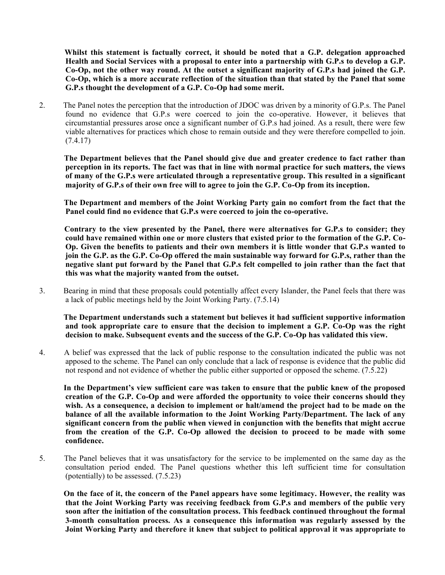**Whilst this statement is factually correct, it should be noted that a G.P. delegation approached Health and Social Services with a proposal to enter into a partnership with G.P.s to develop a G.P. Co-Op, not the other way round. At the outset a significant majority of G.P.s had joined the G.P. Co-Op, which is a more accurate reflection of the situation than that stated by the Panel that some G.P.s thought the development of a G.P. Co-Op had some merit.**

2. The Panel notes the perception that the introduction of JDOC was driven by a minority of G.P.s. The Panel found no evidence that G.P.s were coerced to join the co-operative. However, it believes that circumstantial pressures arose once a significant number of G.P.s had joined. As a result, there were few viable alternatives for practices which chose to remain outside and they were therefore compelled to join. (7.4.17)

 **The Department believes that the Panel should give due and greater credence to fact rather than perception in its reports. The fact was that in line with normal practice for such matters, the views of many of the G.P.s were articulated through a representative group. This resulted in a significant majority of G.P.s of their own free will to agree to join the G.P. Co-Op from its inception.**

 **The Department and members of the Joint Working Party gain no comfort from the fact that the Panel could find no evidence that G.P.s were coerced to join the co-operative.**

 **Contrary to the view presented by the Panel, there were alternatives for G.P.s to consider; they could have remained within one or more clusters that existed prior to the formation of the G.P. Co-Op. Given the benefits to patients and their own members it is little wonder that G.P.s wanted to join the G.P. as the G.P. Co-Op offered the main sustainable way forward for G.P.s, rather than the negative slant put forward by the Panel that G.P.s felt compelled to join rather than the fact that this was what the majority wanted from the outset.**

3. Bearing in mind that these proposals could potentially affect every Islander, the Panel feels that there was a lack of public meetings held by the Joint Working Party. (7.5.14)

 **The Department understands such a statement but believes it had sufficient supportive information and took appropriate care to ensure that the decision to implement a G.P. Co-Op was the right decision to make. Subsequent events and the success of the G.P. Co-Op has validated this view.**

4. A belief was expressed that the lack of public response to the consultation indicated the public was not apposed to the scheme. The Panel can only conclude that a lack of response is evidence that the public did not respond and not evidence of whether the public either supported or opposed the scheme. (7.5.22)

 **In the Department's view sufficient care was taken to ensure that the public knew of the proposed creation of the G.P. Co-Op and were afforded the opportunity to voice their concerns should they wish. As a consequence, a decision to implement or halt/amend the project had to be made on the balance of all the available information to the Joint Working Party/Department. The lack of any significant concern from the public when viewed in conjunction with the benefits that might accrue from the creation of the G.P. Co-Op allowed the decision to proceed to be made with some confidence.**

5. The Panel believes that it was unsatisfactory for the service to be implemented on the same day as the consultation period ended. The Panel questions whether this left sufficient time for consultation (potentially) to be assessed. (7.5.23)

 **On the face of it, the concern of the Panel appears have some legitimacy. However, the reality was that the Joint Working Party was receiving feedback from G.P.s and members of the public very soon after the initiation of the consultation process. This feedback continued throughout the formal 3-month consultation process. As a consequence this information was regularly assessed by the Joint Working Party and therefore it knew that subject to political approval it was appropriate to**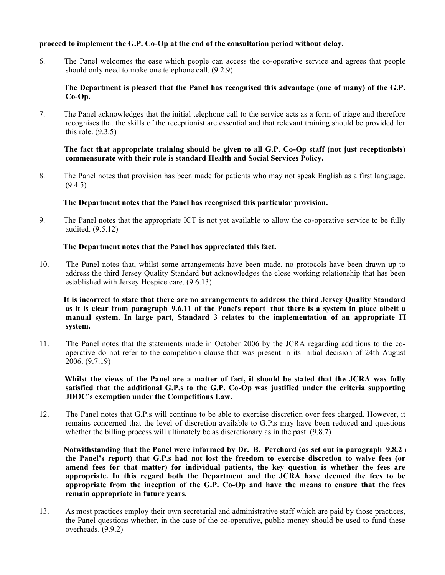## **proceed to implement the G.P. Co-Op at the end of the consultation period without delay.**

6. The Panel welcomes the ease which people can access the co-operative service and agrees that people should only need to make one telephone call. (9.2.9)

### **The Department is pleased that the Panel has recognised this advantage (one of many) of the G.P. Co-Op.**

7. The Panel acknowledges that the initial telephone call to the service acts as a form of triage and therefore recognises that the skills of the receptionist are essential and that relevant training should be provided for this role.  $(9.3.5)$ 

#### **The fact that appropriate training should be given to all G.P. Co-Op staff (not just receptionists) commensurate with their role is standard Health and Social Services Policy.**

8. The Panel notes that provision has been made for patients who may not speak English as a first language.  $(9.4.5)$ 

#### **The Department notes that the Panel has recognised this particular provision.**

9. The Panel notes that the appropriate ICT is not yet available to allow the co-operative service to be fully audited. (9.5.12)

#### **The Department notes that the Panel has appreciated this fact.**

10. The Panel notes that, whilst some arrangements have been made, no protocols have been drawn up to address the third Jersey Quality Standard but acknowledges the close working relationship that has been established with Jersey Hospice care. (9.6.13)

 **It is incorrect to state that there are no arrangements to address the third Jersey Quality Standard as it is clear from paragraph 9.6.11 of the Panel's report that there is a system in place albeit a manual system. In large part, Standard 3 relates to the implementation of an appropriate IT system.**

11. The Panel notes that the statements made in October 2006 by the JCRA regarding additions to the cooperative do not refer to the competition clause that was present in its initial decision of 24th August  $2006. (9.7.19)$ 

 **Whilst the views of the Panel are a matter of fact, it should be stated that the JCRA was fully satisfied that the additional G.P.s to the G.P. Co-Op was justified under the criteria supporting JDOC's exemption under the Competitions Law.**

12. The Panel notes that G.P.s will continue to be able to exercise discretion over fees charged. However, it remains concerned that the level of discretion available to G.P.s may have been reduced and questions whether the billing process will ultimately be as discretionary as in the past.  $(9.8.7)$ 

 **Notwithstanding that the Panel were informed by Dr. B. Perchard (as set out in paragraph 9.8.2 of the Panel's report) that G.P.s had not lost the freedom to exercise discretion to waive fees (or amend fees for that matter) for individual patients, the key question is whether the fees are appropriate. In this regard both the Department and the JCRA have deemed the fees to be appropriate from the inception of the G.P. Co-Op and have the means to ensure that the fees remain appropriate in future years.**

13. As most practices employ their own secretarial and administrative staff which are paid by those practices, the Panel questions whether, in the case of the co-operative, public money should be used to fund these overheads. (9.9.2)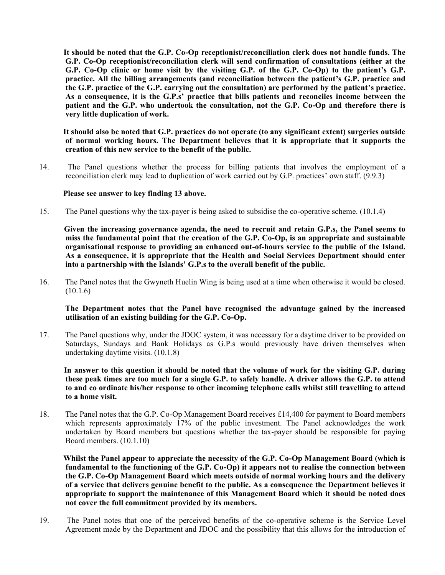**It should be noted that the G.P. Co-Op receptionist/reconciliation clerk does not handle funds. The G.P. Co-Op receptionist/reconciliation clerk will send confirmation of consultations (either at the G.P. Co-Op clinic or home visit by the visiting G.P. of the G.P. Co-Op) to the patient's G.P. practice. All the billing arrangements (and reconciliation between the patient's G.P. practice and the G.P. practice of the G.P. carrying out the consultation) are performed by the patient's practice. As a consequence, it is the G.P.s' practice that bills patients and reconciles income between the patient and the G.P. who undertook the consultation, not the G.P. Co-Op and therefore there is very little duplication of work.**

 **It should also be noted that G.P. practices do not operate (to any significant extent) surgeries outside of normal working hours. The Department believes that it is appropriate that it supports the creation of this new service to the benefit of the public.**

14. The Panel questions whether the process for billing patients that involves the employment of a reconciliation clerk may lead to duplication of work carried out by G.P. practices' own staff. (9.9.3)

#### **Please see answer to key finding 13 above.**

15. The Panel questions why the tax-payer is being asked to subsidise the co-operative scheme. (10.1.4)

 **Given the increasing governance agenda, the need to recruit and retain G.P.s, the Panel seems to miss the fundamental point that the creation of the G.P. Co-Op, is an appropriate and sustainable organisational response to providing an enhanced out-of-hours service to the public of the Island. As a consequence, it is appropriate that the Health and Social Services Department should enter into a partnership with the Islands' G.P.s to the overall benefit of the public.**

16. The Panel notes that the Gwyneth Huelin Wing is being used at a time when otherwise it would be closed.  $(10.1.6)$ 

#### **The Department notes that the Panel have recognised the advantage gained by the increased utilisation of an existing building for the G.P. Co-Op.**

17. The Panel questions why, under the JDOC system, it was necessary for a daytime driver to be provided on Saturdays, Sundays and Bank Holidays as G.P.s would previously have driven themselves when undertaking daytime visits. (10.1.8)

 **In answer to this question it should be noted that the volume of work for the visiting G.P. during these peak times are too much for a single G.P. to safely handle. A driver allows the G.P. to attend to and co ordinate his/her response to other incoming telephone calls whilst still travelling to attend to a home visit.**

18. The Panel notes that the G.P. Co-Op Management Board receives £14,400 for payment to Board members which represents approximately 17% of the public investment. The Panel acknowledges the work undertaken by Board members but questions whether the tax-payer should be responsible for paying Board members. (10.1.10)

 **Whilst the Panel appear to appreciate the necessity of the G.P. Co-Op Management Board (which is fundamental to the functioning of the G.P. Co-Op) it appears not to realise the connection between the G.P. Co-Op Management Board which meets outside of normal working hours and the delivery of a service that delivers genuine benefit to the public. As a consequence the Department believes it appropriate to support the maintenance of this Management Board which it should be noted does not cover the full commitment provided by its members.**

19. The Panel notes that one of the perceived benefits of the co-operative scheme is the Service Level Agreement made by the Department and JDOC and the possibility that this allows for the introduction of